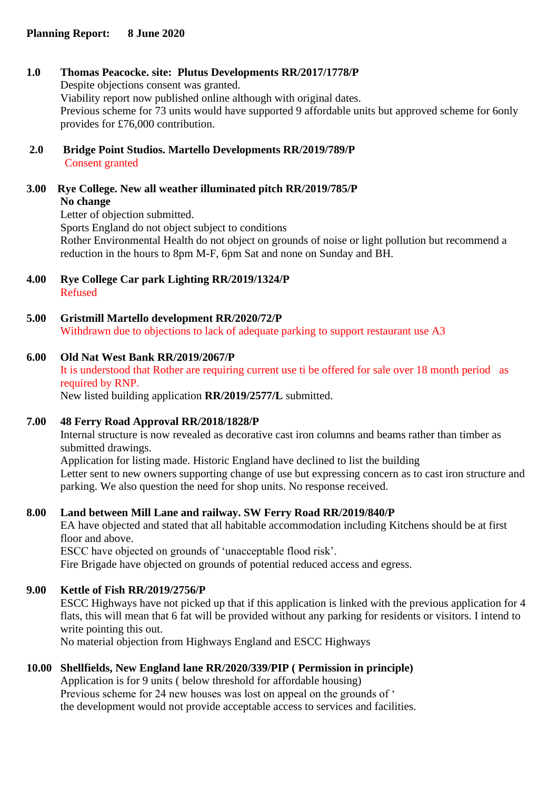# **1.0 Thomas Peacocke. site: Plutus Developments RR/2017/1778/P**

Despite objections consent was granted. Viability report now published online although with original dates. Previous scheme for 73 units would have supported 9 affordable units but approved scheme for 6only provides for £76,000 contribution.

- **2.0 Bridge Point Studios. Martello Developments RR/2019/789/P** Consent granted
- **3.00 Rye College. New all weather illuminated pitch RR/2019/785/P No change** Letter of objection submitted.

Sports England do not object subject to conditions Rother Environmental Health do not object on grounds of noise or light pollution but recommend a reduction in the hours to 8pm M-F, 6pm Sat and none on Sunday and BH.

- **4.00 Rye College Car park Lighting RR/2019/1324/P** Refused
- **5.00 Gristmill Martello development RR/2020/72/P** Withdrawn due to objections to lack of adequate parking to support restaurant use A3

#### **6.00 Old Nat West Bank RR/2019/2067/P**

It is understood that Rother are requiring current use ti be offered for sale over 18 month period as required by RNP.

New listed building application **RR/2019/2577/L** submitted.

# **7.00 48 Ferry Road Approval RR/2018/1828/P**

Internal structure is now revealed as decorative cast iron columns and beams rather than timber as submitted drawings.

Application for listing made. Historic England have declined to list the building Letter sent to new owners supporting change of use but expressing concern as to cast iron structure and parking. We also question the need for shop units. No response received.

# **8.00 Land between Mill Lane and railway. SW Ferry Road RR/2019/840/P**

EA have objected and stated that all habitable accommodation including Kitchens should be at first floor and above.

ESCC have objected on grounds of 'unacceptable flood risk'.

Fire Brigade have objected on grounds of potential reduced access and egress.

# **9.00 Kettle of Fish RR/2019/2756/P**

ESCC Highways have not picked up that if this application is linked with the previous application for 4 flats, this will mean that 6 fat will be provided without any parking for residents or visitors. I intend to write pointing this out.

No material objection from Highways England and ESCC Highways

# **10.00 Shellfields, New England lane RR/2020/339/PIP ( Permission in principle)**

Application is for 9 units ( below threshold for affordable housing) Previous scheme for 24 new houses was lost on appeal on the grounds of ' the development would not provide acceptable access to services and facilities.